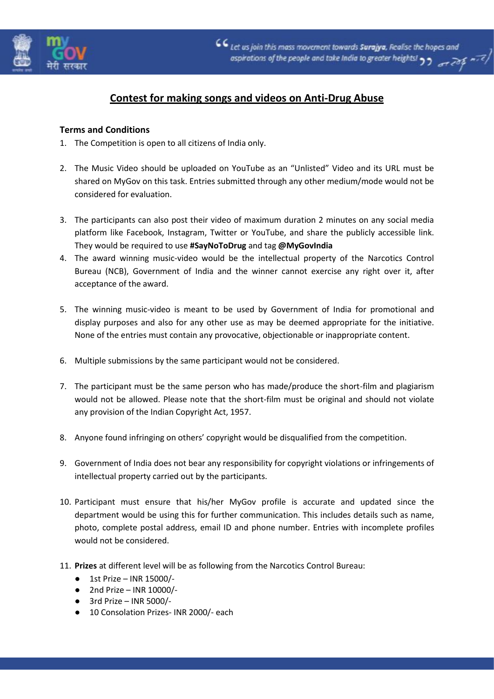

# **Contest for making songs and videos on Anti-Drug Abuse**

# **Terms and Conditions**

- 1. The Competition is open to all citizens of India only.
- 2. The Music Video should be uploaded on YouTube as an "Unlisted" Video and its URL must be shared on MyGov on this task. Entries submitted through any other medium/mode would not be considered for evaluation.
- 3. The participants can also post their video of maximum duration 2 minutes on any social media platform like Facebook, Instagram, Twitter or YouTube, and share the publicly accessible link. They would be required to use **#SayNoToDrug** and tag **@MyGovIndia**
- 4. The award winning music-video would be the intellectual property of the Narcotics Control Bureau (NCB), Government of India and the winner cannot exercise any right over it, after acceptance of the award.
- 5. The winning music-video is meant to be used by Government of India for promotional and display purposes and also for any other use as may be deemed appropriate for the initiative. None of the entries must contain any provocative, objectionable or inappropriate content.
- 6. Multiple submissions by the same participant would not be considered.
- 7. The participant must be the same person who has made/produce the short-film and plagiarism would not be allowed. Please note that the short-film must be original and should not violate any provision of the Indian Copyright Act, 1957.
- 8. Anyone found infringing on others' copyright would be disqualified from the competition.
- 9. Government of India does not bear any responsibility for copyright violations or infringements of intellectual property carried out by the participants.
- 10. Participant must ensure that his/her MyGov profile is accurate and updated since the department would be using this for further communication. This includes details such as name, photo, complete postal address, email ID and phone number. Entries with incomplete profiles would not be considered.
- 11. **Prizes** at different level will be as following from the Narcotics Control Bureau:
	- $\bullet$  1st Prize INR 15000/-
	- $\bullet$  2nd Prize INR 10000/-
	- $\bullet$  3rd Prize INR 5000/-
	- 10 Consolation Prizes- INR 2000/- each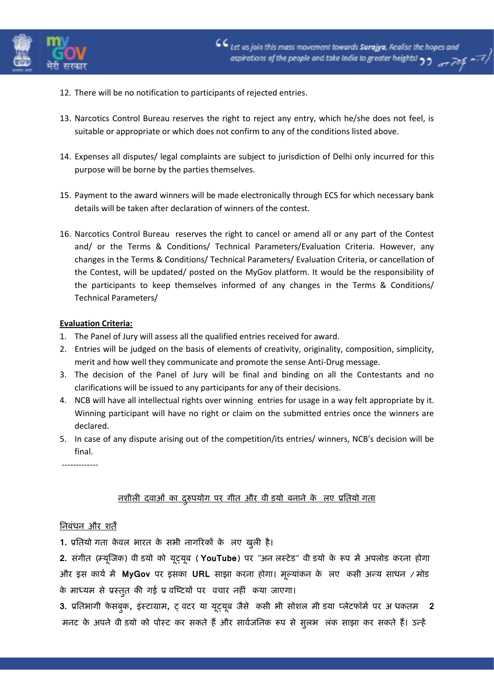

- 12. There will be no notification to participants of rejected entries.
- 13. Narcotics Control Bureau reserves the right to reject any entry, which he/she does not feel, is suitable or appropriate or which does not confirm to any of the conditions listed above.
- 14. Expenses all disputes/ legal complaints are subject to jurisdiction of Delhi only incurred for this purpose will be borne by the parties themselves.
- 15. Payment to the award winners will be made electronically through ECS for which necessary bank details will be taken after declaration of winners of the contest.
- 16. Narcotics Control Bureau reserves the right to cancel or amend all or any part of the Contest and/ or the Terms & Conditions/ Technical Parameters/Evaluation Criteria. However, any changes in the Terms & Conditions/ Technical Parameters/ Evaluation Criteria, or cancellation of the Contest, will be updated/ posted on the MyGov platform. It would be the responsibility of the participants to keep themselves informed of any changes in the Terms & Conditions/ Technical Parameters/

#### **Evaluation Criteria:**

- 1. The Panel of Jury will assess all the qualified entries received for award.
- 2. Entries will be judged on the basis of elements of creativity, originality, composition, simplicity, merit and how well they communicate and promote the sense Anti-Drug message.
- 3. The decision of the Panel of Jury will be final and binding on all the Contestants and no clarifications will be issued to any participants for any of their decisions.
- 4. NCB will have all intellectual rights over winning entries for usage in a way felt appropriate by it. Winning participant will have no right or claim on the submitted entries once the winners are declared.
- 5. In case of any dispute arising out of the competition/its entries/ winners, NCB's decision will be final.

-------------

# **नशीरी दवाओं का दरुुऩमोग ऩय गीत औय वीडिमो फनाने के लरए प्रततमोगगता**

### **तनफंधन औय शतें**

**1. प्रततमो गता केवर बायत के सबी नागरयकों के रए खुरी है।**

**2. संगीत (म्मूजिक) वी िमो को मूट्मूफ ( YouTube) ऩय "अनलरस्टेि" वीडिमो के रूऩ भें अऩरोि कयना होगा औय इस कामय भें MyGov ऩय इसका URL साझा कयना होगा। भूलमांकन के रए कसी अन्म साधन / भोि के भाध्मभ से प्रस्तुत की गई प्र वजटटमों ऩय वचाय नहीं कमा िाएगा।**

3. प्रतिभागी फेसबुक, इंस्टाग्राम, ट् वटर या यूट्यूब जैसे कसी भी सोशल मी डया प्लेटफॉर्म पर अधकतम 2 मनट के अपने वी डयो को पोस्ट कर सकते हैं और सार्वजनिक रूप से सूलभ लंक साझा कर सकते हैं। उन्हें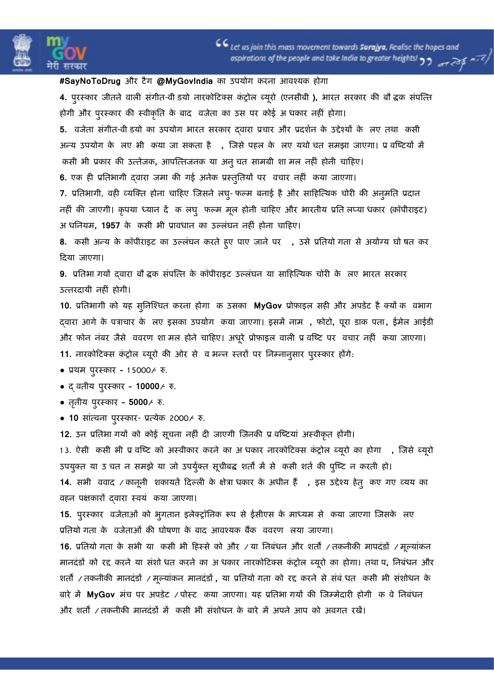

## **#SayNoToDrug औय टैग @MyGovIndia का उऩमोग कयना आवश्मक होगा**

**4. ऩुयस्काय िीतने वारी संगीत-वी िमो नायकोटटक्स कंट्रोर ब्मूयो (एनसीफी ), बायत सयकाय की फौविक संऩजतत होगी औय ऩुयस्काय की स्वीकृतत के फाद विेता का उस ऩय कोई अ धकाय नहीं होगा।**

**5. वविेता संगीत-वीडिमो का उऩमोग बायत सयकाय द्वाया प्रचाय औय प्रदशयन के उद्देश्मों के लरए तथा ककसी अन्म उऩमोग के लरए बी ककमा िा सकता है , जिसे ऩहर के लरए मथोगचत सभझा िाएगा। प्रववजटटमों भें ककसी बी प्रकाय की उततेिक, आऩजततिनक मा अनुचत साभग्री शा भर नहीं होनी चाटहए।**

**6. एक ही प्रततबागी द्वाया िभा की गई अनेक प्रस्तुततमों ऩय वचाय नहीं कमा िाएगा।**

**7. प्रततबागी, वही व्मजक्त होना चाटहए जिसने रघु- पलभ फनाई हैऔय साटहजतमक चोयी की अनुभतत प्रदान** नहीं की जाएगी। कृपया ध्यान दें क लघु फल्म मूल होनी चाहिए और भारतीय प्रति लप्या धकार (कॉपीराइट) **अगधतनमभ, 1957 के ककसी बी प्रावधान का उलरंघन नहीं होना चाटहए।**

**8. कसी अन्म के कॉऩीयाइट का उलरंघन कयते हुए ऩाए िाने ऩय , उसे प्रततमोगगता से अमोग्म घोवषत कय टदमा िाएगा।**

9. प्रतिभा गयों दवारा बौ द्वक संपत्ति के कॉपीराइट उल्लंघन या साहित्यिक चोरी के लए भारत सरकार **उततयदामी नहीं होगी।**

**10. प्रततबागी को मह सुतनजश्चत कयना होगा क उसका MyGov प्रोफाइर सही औय अऩिेट है क्मोंकक ववबाग द्वाया आगे के ऩत्राचाय के लरए इसका उऩमोग ककमा िाएगा। इसभें नाभ , पोटो, ऩूया िाक ऩता , ईभेर आईिी**  और फोन नंबर जैसे ववरण शा मल होने चाहिए। अधूरे प्रोफाइल वाली प्र वष्टि पर वचार नहीं कया जाएगा। **11. नायकोटटक्स कंट्रोर ब्मूयो की ओय से व बन्न स्तयों ऩय तनम्नानुसाय ऩुयस्काय होंगे:**

#### ● **प्रथभ ऩुयस्काय – 1 5000/- रु.**

● **द् वतीम ऩुयस्काय – 10000/- रु.**

- **ततृ ीम ऩुयस्काय – 5000/- रु.**
- **10 सांतवना ऩुयस्काय प्रतमेक 2000/- रु.**

**12. उन प्रततबा गमों को कोई सूचना नहीं दी िाएगी जिनकी प्र वजटटमां अस्वीकृत होंगी।** 13. ऐसी कसी भी प्र वष्टि को अस्वीकार करने का अधकार नारकोटिक्स कंट्रोल ब्यूरो का होगा , जिसे ब्यूरो उपयुक्त या उ चत न समझे या जो उपर्युक्त सूचीबद्ध शर्तों में से कसी शर्त की पुष्टि न करती हो। 14. सभी ववाद / कानूनी शकायतें दिल्ली के क्षेत्रा धकार के अधीन हैं, इस उद्देश्य हेतु कए गए व्यय का **वहन ऩऺकायों द्वाया स्वमं ककमा िाएगा।**

**15. ऩुयस्काय विेताओं को बुगतान इरेक्ट्रॉतनक रूऩ से ईसीएस के भाध्मभ से कमा िाएगा जिसके रए प्रततमोगगता के वविेताओं की घोषणा के फाद आवश्मक फैंक वववयण लरमा िाएगा।**

**16. प्रततमोगगता के सबी मा ककसी बी टहस्से को औय / मा तनफंधन औय शतों / तकनीकी भाऩदंिों / भूलमांकन** मानदंडों को रद्द करने या संशो धत करने का अ धकार नारकोटिक्स कंट्रोल ब्यूरो का होगा। तथा प, निबंधन और **शतों / तकनीकी भानदंिों / भूलमांकन भानदंिों , मा प्रततमोगगता को यद्द कयने से संफंगधत ककसी बी संशोधन के फाये भें MyGov भंच ऩय अऩिेट / ऩोस्ट ककमा िाएगा। मह प्रततबागगमों की जिम्भेदायी होगी कक वे तनफंधन औय शतों / तकनीकी भानदंिों भें ककसी बी संशोधन के फाये भें अऩने आऩ को अवगत यखें।**